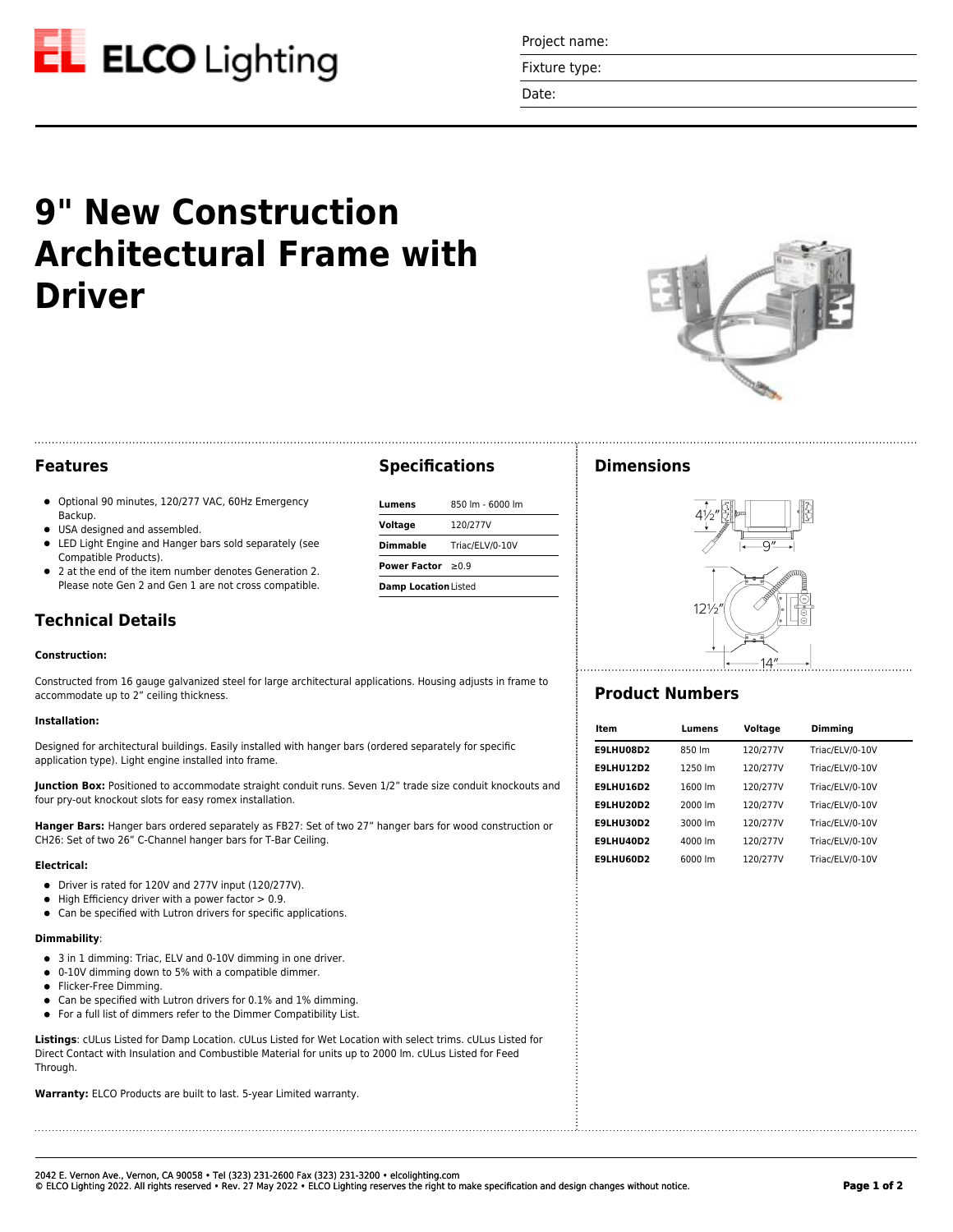

Project name:

Fixture type:

Date:

# **9" New Construction Architectural Frame with Driver**



## **Features**

- Optional 90 minutes, 120/277 VAC, 60Hz Emergency Backup.
- **USA** designed and assembled.
- LED Light Engine and Hanger bars sold separately (see Compatible Products).
- 2 at the end of the item number denotes Generation 2. Please note Gen 2 and Gen 1 are not cross compatible.

## **Technical Details**

#### **Construction:**

Constructed from 16 gauge galvanized steel for large architectural applications. Housing adjusts in frame to accommodate up to 2" ceiling thickness.

#### **Installation:**

Designed for architectural buildings. Easily installed with hanger bars (ordered separately for specific application type). Light engine installed into frame.

**Junction Box:** Positioned to accommodate straight conduit runs. Seven 1/2" trade size conduit knockouts and four pry-out knockout slots for easy romex installation.

**Hanger Bars:** Hanger bars ordered separately as FB27: Set of two 27" hanger bars for wood construction or CH26: Set of two 26" C-Channel hanger bars for T-Bar Ceiling.

#### **Electrical:**

- Driver is rated for 120V and 277V input (120/277V).
- $\bullet$  High Efficiency driver with a power factor  $> 0.9$ .
- Can be specified with Lutron drivers for specific applications.

#### **Dimmability**:

- 3 in 1 dimming: Triac, ELV and 0-10V dimming in one driver.
- 0-10V dimming down to 5% with a compatible dimmer.
- Flicker-Free Dimming.
- Can be specified with Lutron drivers for 0.1% and 1% dimming.
- For a full list of dimmers refer to the Dimmer Compatibility List.

**Listings**: cULus Listed for Damp Location. cULus Listed for Wet Location with select trims. cULus Listed for Direct Contact with Insulation and Combustible Material for units up to 2000 lm. cULus Listed for Feed Through.

**Warranty:** ELCO Products are built to last. 5-year Limited warranty.

## **Specifications**

| Lumens                      | 850 lm - 6000 lm |  |
|-----------------------------|------------------|--|
| Voltage                     | 120/277V         |  |
| Dimmable                    | Triac/ELV/0-10V  |  |
| Power Factor $>0.9$         |                  |  |
| <b>Damp Location Listed</b> |                  |  |

## **Dimensions**



## **Product Numbers**

| Item             | Lumens  | Voltage  | Dimming         |  |
|------------------|---------|----------|-----------------|--|
| E9LHU08D2        | 850 lm  | 120/277V | Triac/ELV/0-10V |  |
| <b>E9LHU12D2</b> | 1250 lm | 120/277V | Triac/ELV/0-10V |  |
| <b>E9LHU16D2</b> | 1600 lm | 120/277V | Triac/ELV/0-10V |  |
| E9LHU20D2        | 2000 lm | 120/277V | Triac/ELV/0-10V |  |
| <b>E9LHU30D2</b> | 3000 lm | 120/277V | Triac/ELV/0-10V |  |
| <b>E9LHU40D2</b> | 4000 lm | 120/277V | Triac/ELV/0-10V |  |
| E9LHU60D2        | 6000 lm | 120/277V | Triac/ELV/0-10V |  |